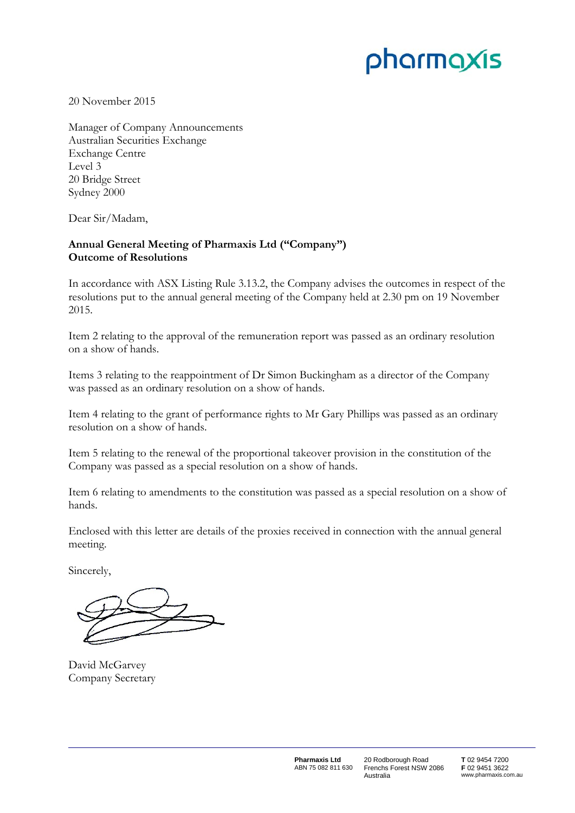## pharmaxis

20 November 2015

Manager of Company Announcements Australian Securities Exchange Exchange Centre Level 3 20 Bridge Street Sydney 2000

Dear Sir/Madam,

## **Annual General Meeting of Pharmaxis Ltd ("Company") Outcome of Resolutions**

In accordance with ASX Listing Rule 3.13.2, the Company advises the outcomes in respect of the resolutions put to the annual general meeting of the Company held at 2.30 pm on 19 November 2015.

Item 2 relating to the approval of the remuneration report was passed as an ordinary resolution on a show of hands.

Items 3 relating to the reappointment of Dr Simon Buckingham as a director of the Company was passed as an ordinary resolution on a show of hands.

Item 4 relating to the grant of performance rights to Mr Gary Phillips was passed as an ordinary resolution on a show of hands.

Item 5 relating to the renewal of the proportional takeover provision in the constitution of the Company was passed as a special resolution on a show of hands.

Item 6 relating to amendments to the constitution was passed as a special resolution on a show of hands.

Enclosed with this letter are details of the proxies received in connection with the annual general meeting.

Sincerely,

David McGarvey Company Secretary

20 Rodborough Road Frenchs Forest NSW 2086 Australia